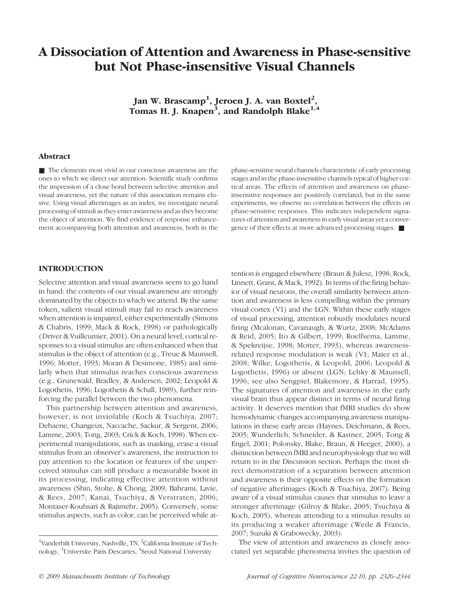# A Dissociation of Attention and Awareness in Phase-sensitive but Not Phase-insensitive Visual Channels

Jan W. Brascamp $^1$ , Jeroen J. A. van Boxtel $^2,$ Tomas H. J. Knapen<sup>3</sup>, and Randolph Blake<sup>1,4</sup>

## Abstract

■ The elements most vivid in our conscious awareness are the ones to which we direct our attention. Scientific study confirms the impression of a close bond between selective attention and visual awareness, yet the nature of this association remains elusive. Using visual afterimages as an index, we investigate neural processing of stimuli as they enter awareness and as they become the object of attention. We find evidence of response enhancement accompanying both attention and awareness, both in the

phase-sensitive neural channels characteristic of early processing stages and in the phase-insensitive channels typical of higher cortical areas. The effects of attention and awareness on phaseinsensitive responses are positively correlated, but in the same experiments, we observe no correlation between the effects on phase-sensitive responses. This indicates independent signatures of attention and awareness in early visual areas yet a convergence of their effects at more advanced processing stages. ■

# INTRODUCTION

Selective attention and visual awareness seem to go hand in hand: the contents of our visual awareness are strongly dominated by the objects to which we attend. By the same token, salient visual stimuli may fail to reach awareness when attention is impaired, either experimentally (Simons & Chabris, 1999; Mack & Rock, 1998) or pathologically (Driver & Vuilleumier, 2001). On a neural level, cortical responses to a visual stimulus are often enhanced when that stimulus is the object of attention (e.g., Treue & Maunsell, 1996; Motter, 1993; Moran & Desimone, 1985) and similarly when that stimulus reaches conscious awareness (e.g., Grunewald, Bradley, & Andersen, 2002; Leopold & Logothetis, 1996; Logothetis & Schall, 1989), further reinforcing the parallel between the two phenomena.

This partnership between attention and awareness, however, is not inviolable (Koch & Tsuchiya, 2007; Dehaene, Changeux, Naccache, Sackur, & Sergent, 2006; Lamme, 2003; Tong, 2003; Crick & Koch, 1998). When experimental manipulations, such as masking, erase a visual stimulus from an observer's awareness, the instruction to pay attention to the location or features of the unperceived stimulus can still produce a measurable boost in its processing, indicating effective attention without awareness (Shin, Stolte, & Chong, 2009; Bahrami, Lavie, & Rees, 2007; Kanai, Tsuchiya, & Verstraten, 2006; Montaser-Kouhsari & Rajimehr, 2005). Conversely, some stimulus aspects, such as color, can be perceived while attention is engaged elsewhere (Braun & Julesz, 1998; Rock, Linnett, Grant, & Mack, 1992). In terms of the firing behavior of visual neurons, the overall similarity between attention and awareness is less compelling within the primary visual cortex (V1) and the LGN. Within these early stages of visual processing, attention robustly modulates neural firing (Mcalonan, Cavanaugh, & Wurtz, 2008; McAdams & Reid, 2005; Ito & Gilbert, 1999; Roelfsema, Lamme, & Spekreijse, 1998; Motter, 1993), whereas awarenessrelated response modulation is weak (V1; Maier et al., 2008; Wilke, Logothetis, & Leopold, 2006; Leopold & Logothetis, 1996) or absent (LGN; Lehky & Maunsell, 1996; see also Sengpiel, Blakemore, & Harrad, 1995). The signatures of attention and awareness in the early visual brain thus appear distinct in terms of neural firing activity. It deserves mention that fMRI studies do show hemodynamic changes accompanying awareness manipulations in these early areas (Haynes, Deichmann, & Rees, 2005; Wunderlich, Schneider, & Kastner, 2005; Tong & Engel, 2001; Polonsky, Blake, Braun, & Heeger, 2000), a distinction between fMRI and neurophysiology that we will return to in the Discussion section. Perhaps the most direct demonstration of a separation between attention and awareness is their opposite effects on the formation of negative afterimages (Koch & Tsuchiya, 2007). Being aware of a visual stimulus causes that stimulus to leave a stronger afterimage (Gilroy & Blake, 2005; Tsuchiya & Koch, 2005), whereas attending to a stimulus results in its producing a weaker afterimage (Wede & Francis, 2007; Suzuki & Grabowecky, 2003).

The view of attention and awareness as closely associated yet separable phenomena invites the question of

<sup>&</sup>lt;sup>1</sup>Vanderbilt University, Nashville, TN, <sup>2</sup>California Institute of Technology, <sup>3</sup>Universite Paris Descartes, <sup>4</sup>Seoul National University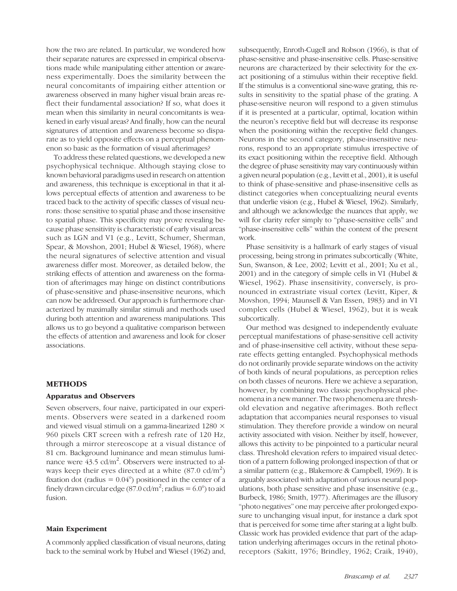how the two are related. In particular, we wondered how their separate natures are expressed in empirical observations made while manipulating either attention or awareness experimentally. Does the similarity between the neural concomitants of impairing either attention or awareness observed in many higher visual brain areas reflect their fundamental association? If so, what does it mean when this similarity in neural concomitants is weakened in early visual areas? And finally, how can the neural signatures of attention and awareness become so disparate as to yield opposite effects on a perceptual phenomenon so basic as the formation of visual afterimages?

To address these related questions, we developed a new psychophysical technique. Although staying close to known behavioral paradigms used in research on attention and awareness, this technique is exceptional in that it allows perceptual effects of attention and awareness to be traced back to the activity of specific classes of visual neurons: those sensitive to spatial phase and those insensitive to spatial phase. This specificity may prove revealing because phase sensitivity is characteristic of early visual areas such as LGN and V1 (e.g., Levitt, Schumer, Sherman, Spear, & Movshon, 2001; Hubel & Wiesel, 1968), where the neural signatures of selective attention and visual awareness differ most. Moreover, as detailed below, the striking effects of attention and awareness on the formation of afterimages may hinge on distinct contributions of phase-sensitive and phase-insensitive neurons, which can now be addressed. Our approach is furthermore characterized by maximally similar stimuli and methods used during both attention and awareness manipulations. This allows us to go beyond a qualitative comparison between the effects of attention and awareness and look for closer associations.

## METHODS

#### Apparatus and Observers

Seven observers, four naive, participated in our experiments. Observers were seated in a darkened room and viewed visual stimuli on a gamma-linearized 1280 × 960 pixels CRT screen with a refresh rate of 120 Hz, through a mirror stereoscope at a visual distance of 81 cm. Background luminance and mean stimulus luminance were  $43.5$  cd/m<sup>2</sup>. Observers were instructed to always keep their eyes directed at a white  $(87.0 \text{ cd/m}^2)$ fixation dot (radius =  $0.04^{\circ}$ ) positioned in the center of a finely drawn circular edge  $(87.0 \text{ cd/m}^2; \text{radius} = 6.0^\circ)$  to aid fusion.

## Main Experiment

A commonly applied classification of visual neurons, dating back to the seminal work by Hubel and Wiesel (1962) and,

subsequently, Enroth-Cugell and Robson (1966), is that of phase-sensitive and phase-insensitive cells. Phase-sensitive neurons are characterized by their selectivity for the exact positioning of a stimulus within their receptive field. If the stimulus is a conventional sine-wave grating, this results in sensitivity to the spatial phase of the grating. A phase-sensitive neuron will respond to a given stimulus if it is presented at a particular, optimal, location within the neuron's receptive field but will decrease its response when the positioning within the receptive field changes. Neurons in the second category, phase-insensitive neurons, respond to an appropriate stimulus irrespective of its exact positioning within the receptive field. Although the degree of phase sensitivity may vary continuously within a given neural population (e.g., Levitt et al., 2001), it is useful to think of phase-sensitive and phase-insensitive cells as distinct categories when conceptualizing neural events that underlie vision (e.g., Hubel & Wiesel, 1962). Similarly, and although we acknowledge the nuances that apply, we will for clarity refer simply to "phase-sensitive cells" and "phase-insensitive cells" within the context of the present work.

Phase sensitivity is a hallmark of early stages of visual processing, being strong in primates subcortically (White, Sun, Swanson, & Lee, 2002; Levitt et al., 2001; Xu et al., 2001) and in the category of simple cells in V1 (Hubel & Wiesel, 1962). Phase insensitivity, conversely, is pronounced in extrastriate visual cortex (Levitt, Kiper, & Movshon, 1994; Maunsell & Van Essen, 1983) and in V1 complex cells (Hubel & Wiesel, 1962), but it is weak subcortically.

Our method was designed to independently evaluate perceptual manifestations of phase-sensitive cell activity and of phase-insensitive cell activity, without these separate effects getting entangled. Psychophysical methods do not ordinarily provide separate windows on the activity of both kinds of neural populations, as perception relies on both classes of neurons. Here we achieve a separation, however, by combining two classic psychophysical phenomena in a new manner. The two phenomena are threshold elevation and negative afterimages. Both reflect adaptation that accompanies neural responses to visual stimulation. They therefore provide a window on neural activity associated with vision. Neither by itself, however, allows this activity to be pinpointed to a particular neural class. Threshold elevation refers to impaired visual detection of a pattern following prolonged inspection of that or a similar pattern (e.g., Blakemore & Campbell, 1969). It is arguably associated with adaptation of various neural populations, both phase sensitive and phase insensitive (e.g., Burbeck, 1986; Smith, 1977). Afterimages are the illusory "photo negatives" one may perceive after prolonged exposure to unchanging visual input, for instance a dark spot that is perceived for some time after staring at a light bulb. Classic work has provided evidence that part of the adaptation underlying afterimages occurs in the retinal photoreceptors (Sakitt, 1976; Brindley, 1962; Craik, 1940),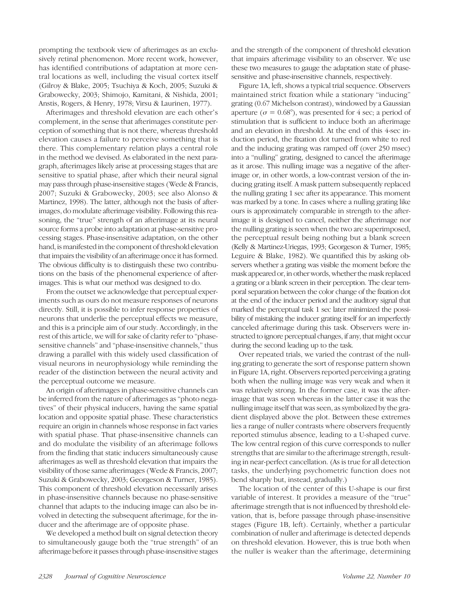prompting the textbook view of afterimages as an exclusively retinal phenomenon. More recent work, however, has identified contributions of adaptation at more central locations as well, including the visual cortex itself (Gilroy & Blake, 2005; Tsuchiya & Koch, 2005; Suzuki & Grabowecky, 2003; Shimojo, Kamitani, & Nishida, 2001; Anstis, Rogers, & Henry, 1978; Virsu & Laurinen, 1977).

Afterimages and threshold elevation are each other's complement, in the sense that afterimages constitute perception of something that is not there, whereas threshold elevation causes a failure to perceive something that is there. This complementary relation plays a central role in the method we devised. As elaborated in the next paragraph, afterimages likely arise at processing stages that are sensitive to spatial phase, after which their neural signal may pass through phase-insensitive stages (Wede & Francis, 2007; Suzuki & Grabowecky, 2003; see also Alonso & Martinez, 1998). The latter, although not the basis of afterimages, do modulate afterimage visibility. Following this reasoning, the "true" strength of an afterimage at its neural source forms a probe into adaptation at phase-sensitive processing stages. Phase-insensitive adaptation, on the other hand, is manifested in the component of threshold elevation that impairs the visibility of an afterimage once it has formed. The obvious difficulty is to distinguish these two contributions on the basis of the phenomenal experience of afterimages. This is what our method was designed to do.

From the outset we acknowledge that perceptual experiments such as ours do not measure responses of neurons directly. Still, it is possible to infer response properties of neurons that underlie the perceptual effects we measure, and this is a principle aim of our study. Accordingly, in the rest of this article, we will for sake of clarity refer to "phasesensitive channels" and "phase-insensitive channels," thus drawing a parallel with this widely used classification of visual neurons in neurophysiology while reminding the reader of the distinction between the neural activity and the perceptual outcome we measure.

An origin of afterimages in phase-sensitive channels can be inferred from the nature of afterimages as "photo negatives" of their physical inducers, having the same spatial location and opposite spatial phase. These characteristics require an origin in channels whose response in fact varies with spatial phase. That phase-insensitive channels can and do modulate the visibility of an afterimage follows from the finding that static inducers simultaneously cause afterimages as well as threshold elevation that impairs the visibility of those same afterimages (Wede & Francis, 2007; Suzuki & Grabowecky, 2003; Georgeson & Turner, 1985). This component of threshold elevation necessarily arises in phase-insensitive channels because no phase-sensitive channel that adapts to the inducing image can also be involved in detecting the subsequent afterimage, for the inducer and the afterimage are of opposite phase.

We developed a method built on signal detection theory to simultaneously gauge both the "true strength" of an afterimage before it passes through phase-insensitive stages and the strength of the component of threshold elevation that impairs afterimage visibility to an observer. We use these two measures to gauge the adaptation state of phasesensitive and phase-insensitive channels, respectively.

Figure 1A, left, shows a typical trial sequence. Observers maintained strict fixation while a stationary "inducing" grating (0.67 Michelson contrast), windowed by a Gaussian aperture ( $\sigma = 0.68^{\circ}$ ), was presented for 4 sec; a period of stimulation that is sufficient to induce both an afterimage and an elevation in threshold. At the end of this 4-sec induction period, the fixation dot turned from white to red and the inducing grating was ramped off (over 250 msec) into a "nulling" grating, designed to cancel the afterimage as it arose. This nulling image was a negative of the afterimage or, in other words, a low-contrast version of the inducing grating itself. A mask pattern subsequently replaced the nulling grating 1 sec after its appearance. This moment was marked by a tone. In cases where a nulling grating like ours is approximately comparable in strength to the afterimage it is designed to cancel, neither the afterimage nor the nulling grating is seen when the two are superimposed, the perceptual result being nothing but a blank screen (Kelly & Martinez-Uriegas, 1993; Georgeson & Turner, 1985; Leguire & Blake, 1982). We quantified this by asking observers whether a grating was visible the moment before the mask appeared or, in other words, whether the mask replaced a grating or a blank screen in their perception. The clear temporal separation between the color change of the fixation dot at the end of the inducer period and the auditory signal that marked the perceptual task 1 sec later minimized the possibility of mistaking the inducer grating itself for an imperfectly canceled afterimage during this task. Observers were instructed to ignore perceptual changes, if any, that might occur during the second leading up to the task.

Over repeated trials, we varied the contrast of the nulling grating to generate the sort of response pattern shown in Figure 1A, right. Observers reported perceiving a grating both when the nulling image was very weak and when it was relatively strong. In the former case, it was the afterimage that was seen whereas in the latter case it was the nulling image itself that was seen, as symbolized by the gradient displayed above the plot. Between these extremes lies a range of nuller contrasts where observers frequently reported stimulus absence, leading to a U-shaped curve. The low central region of this curve corresponds to nuller strengths that are similar to the afterimage strength, resulting in near-perfect cancellation. (As is true for all detection tasks, the underlying psychometric function does not bend sharply but, instead, gradually.)

The location of the center of this U-shape is our first variable of interest. It provides a measure of the "true" afterimage strength that is not influenced by threshold elevation, that is, before passage through phase-insensitive stages (Figure 1B, left). Certainly, whether a particular combination of nuller and afterimage is detected depends on threshold elevation. However, this is true both when the nuller is weaker than the afterimage, determining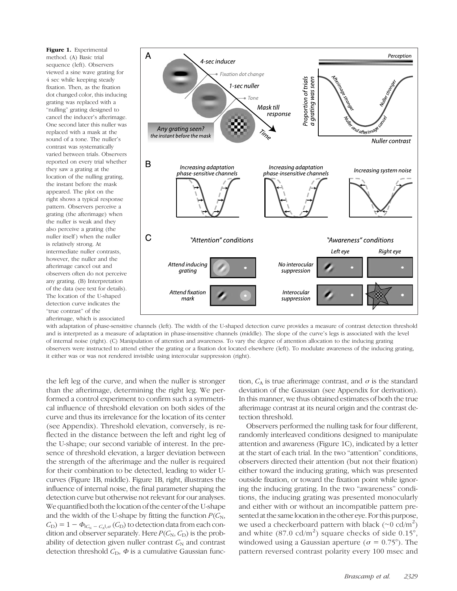Figure 1. Experimental method. (A) Basic trial sequence (left). Observers viewed a sine wave grating for 4 sec while keeping steady fixation. Then, as the fixation dot changed color, this inducing grating was replaced with a "nulling" grating designed to cancel the inducer's afterimage. One second later this nuller was replaced with a mask at the sound of a tone. The nuller's contrast was systematically varied between trials. Observers reported on every trial whether they saw a grating at the location of the nulling grating, the instant before the mask appeared. The plot on the right shows a typical response pattern. Observers perceive a grating (the afterimage) when the nuller is weak and they also perceive a grating (the nuller itself) when the nuller is relatively strong. At intermediate nuller contrasts, however, the nuller and the afterimage cancel out and observers often do not perceive any grating. (B) Interpretation of the data (see text for details). The location of the U-shaped detection curve indicates the "true contrast" of the afterimage, which is associated



with adaptation of phase-sensitive channels (left). The width of the U-shaped detection curve provides a measure of contrast detection threshold and is interpreted as a measure of adaptation in phase-insensitive channels (middle). The slope of the curve's legs is associated with the level of internal noise (right). (C) Manipulation of attention and awareness. To vary the degree of attention allocation to the inducing grating observers were instructed to attend either the grating or a fixation dot located elsewhere (left). To modulate awareness of the inducing grating, it either was or was not rendered invisible using interocular suppression (right).

the left leg of the curve, and when the nuller is stronger than the afterimage, determining the right leg. We performed a control experiment to confirm such a symmetrical influence of threshold elevation on both sides of the curve and thus its irrelevance for the location of its center (see Appendix). Threshold elevation, conversely, is reflected in the distance between the left and right leg of the U-shape; our second variable of interest. In the presence of threshold elevation, a larger deviation between the strength of the afterimage and the nuller is required for their combination to be detected, leading to wider Ucurves (Figure 1B, middle). Figure 1B, right, illustrates the influence of internal noise, the final parameter shaping the detection curve but otherwise not relevant for our analyses. We quantified both the location of the center of the U-shape and the width of the U-shape by fitting the function  $P(C_N, \mathcal{C})$  $C_D$ ) = 1 –  $\Phi_{C_N - C_A L, \sigma}(C_D)$  to detection data from each condition and observer separately. Here  $P(C_N, C_D)$  is the probability of detection given nuller contrast  $C_N$  and contrast detection threshold  $C_{\text{D}}$ ,  $\Phi$  is a cumulative Gaussian func-

tion,  $C_A$  is true afterimage contrast, and  $\sigma$  is the standard deviation of the Gaussian (see Appendix for derivation). In this manner, we thus obtained estimates of both the true afterimage contrast at its neural origin and the contrast detection threshold.

Observers performed the nulling task for four different, randomly interleaved conditions designed to manipulate attention and awareness (Figure 1C), indicated by a letter at the start of each trial. In the two "attention" conditions, observers directed their attention (but not their fixation) either toward the inducing grating, which was presented outside fixation, or toward the fixation point while ignoring the inducing grating. In the two "awareness" conditions, the inducing grating was presented monocularly and either with or without an incompatible pattern presented at the same location in the other eye. For this purpose, we used a checkerboard pattern with black (∼0 cd/m<sup>2</sup>) and white  $(87.0 \text{ cd/m}^2)$  square checks of side  $0.15^\circ$ , windowed using a Gaussian aperture ( $\sigma = 0.75^{\circ}$ ). The pattern reversed contrast polarity every 100 msec and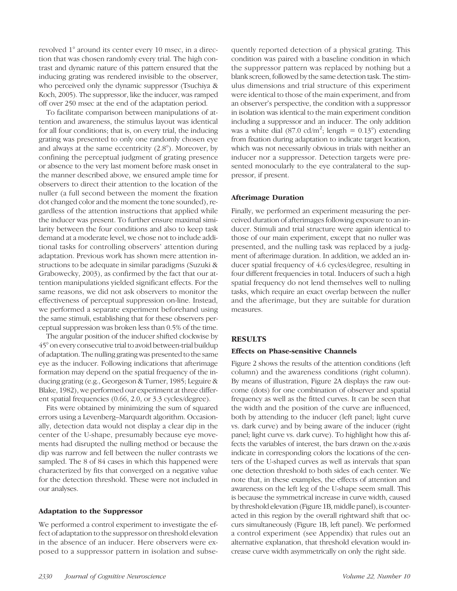revolved 1° around its center every 10 msec, in a direction that was chosen randomly every trial. The high contrast and dynamic nature of this pattern ensured that the inducing grating was rendered invisible to the observer, who perceived only the dynamic suppressor (Tsuchiya & Koch, 2005). The suppressor, like the inducer, was ramped off over 250 msec at the end of the adaptation period.

To facilitate comparison between manipulations of attention and awareness, the stimulus layout was identical for all four conditions; that is, on every trial, the inducing grating was presented to only one randomly chosen eye and always at the same eccentricity (2.8°). Moreover, by confining the perceptual judgment of grating presence or absence to the very last moment before mask onset in the manner described above, we ensured ample time for observers to direct their attention to the location of the nuller (a full second between the moment the fixation dot changed color and the moment the tone sounded), regardless of the attention instructions that applied while the inducer was present. To further ensure maximal similarity between the four conditions and also to keep task demand at a moderate level, we chose not to include additional tasks for controlling observers' attention during adaptation. Previous work has shown mere attention instructions to be adequate in similar paradigms (Suzuki & Grabowecky, 2003), as confirmed by the fact that our attention manipulations yielded significant effects. For the same reasons, we did not ask observers to monitor the effectiveness of perceptual suppression on-line. Instead, we performed a separate experiment beforehand using the same stimuli, establishing that for these observers perceptual suppression was broken less than 0.5% of the time.

The angular position of the inducer shifted clockwise by 45° on every consecutive trial to avoid between-trial buildup of adaptation. The nulling grating was presented to the same eye as the inducer. Following indications that afterimage formation may depend on the spatial frequency of the inducing grating (e.g., Georgeson & Turner, 1985; Leguire & Blake, 1982), we performed our experiment at three different spatial frequencies (0.66, 2.0, or 3.3 cycles/degree).

Fits were obtained by minimizing the sum of squared errors using a Levenberg–Marquardt algorithm. Occasionally, detection data would not display a clear dip in the center of the U-shape, presumably because eye movements had disrupted the nulling method or because the dip was narrow and fell between the nuller contrasts we sampled. The 8 of 84 cases in which this happened were characterized by fits that converged on a negative value for the detection threshold. These were not included in our analyses.

#### Adaptation to the Suppressor

We performed a control experiment to investigate the effect of adaptation to the suppressor on threshold elevation in the absence of an inducer. Here observers were exposed to a suppressor pattern in isolation and subsequently reported detection of a physical grating. This condition was paired with a baseline condition in which the suppressor pattern was replaced by nothing but a blank screen, followed by the same detection task. The stimulus dimensions and trial structure of this experiment were identical to those of the main experiment, and from an observer's perspective, the condition with a suppressor in isolation was identical to the main experiment condition including a suppressor and an inducer. The only addition was a white dial  $(87.0 \text{ cd/m}^2; \text{ length} = 0.13^{\circ})$  extending from fixation during adaptation to indicate target location, which was not necessarily obvious in trials with neither an inducer nor a suppressor. Detection targets were presented monocularly to the eye contralateral to the suppressor, if present.

#### Afterimage Duration

Finally, we performed an experiment measuring the perceived duration of afterimages following exposure to an inducer. Stimuli and trial structure were again identical to those of our main experiment, except that no nuller was presented, and the nulling task was replaced by a judgment of afterimage duration. In addition, we added an inducer spatial frequency of 4.6 cycles/degree, resulting in four different frequencies in total. Inducers of such a high spatial frequency do not lend themselves well to nulling tasks, which require an exact overlap between the nuller and the afterimage, but they are suitable for duration measures.

#### RESULTS

#### Effects on Phase-sensitive Channels

Figure 2 shows the results of the attention conditions (left column) and the awareness conditions (right column). By means of illustration, Figure 2A displays the raw outcome (dots) for one combination of observer and spatial frequency as well as the fitted curves. It can be seen that the width and the position of the curve are influenced, both by attending to the inducer (left panel; light curve vs. dark curve) and by being aware of the inducer (right panel; light curve vs. dark curve). To highlight how this affects the variables of interest, the bars drawn on the x-axis indicate in corresponding colors the locations of the centers of the U-shaped curves as well as intervals that span one detection threshold to both sides of each center. We note that, in these examples, the effects of attention and awareness on the left leg of the U-shape seem small. This is because the symmetrical increase in curve width, caused by threshold elevation (Figure 1B, middle panel), is counteracted in this region by the overall rightward shift that occurs simultaneously (Figure 1B, left panel). We performed a control experiment (see Appendix) that rules out an alternative explanation, that threshold elevation would increase curve width asymmetrically on only the right side.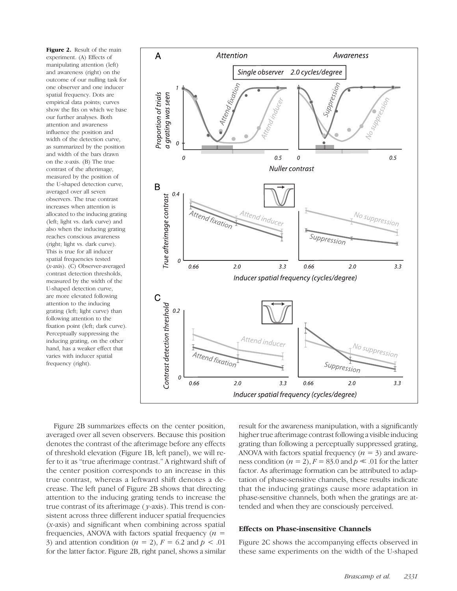Figure 2. Result of the main experiment. (A) Effects of manipulating attention (left) and awareness (right) on the outcome of our nulling task for one observer and one inducer spatial frequency. Dots are empirical data points; curves show the fits on which we base our further analyses. Both attention and awareness influence the position and width of the detection curve, as summarized by the position and width of the bars drawn on the  $x$ -axis. (B) The true contrast of the afterimage, measured by the position of the U-shaped detection curve, averaged over all seven observers. The true contrast increases when attention is allocated to the inducing grating (left; light vs. dark curve) and also when the inducing grating reaches conscious awareness (right; light vs. dark curve). This is true for all inducer spatial frequencies tested (x-axis). (C) Observer-averaged contrast detection thresholds, measured by the width of the U-shaped detection curve, are more elevated following attention to the inducing grating (left; light curve) than following attention to the fixation point (left; dark curve). Perceptually suppressing the inducing grating, on the other hand, has a weaker effect that varies with inducer spatial frequency (right).



Figure 2B summarizes effects on the center position, averaged over all seven observers. Because this position denotes the contrast of the afterimage before any effects of threshold elevation (Figure 1B, left panel), we will refer to it as "true afterimage contrast." A rightward shift of the center position corresponds to an increase in this true contrast, whereas a leftward shift denotes a decrease. The left panel of Figure 2B shows that directing attention to the inducing grating tends to increase the true contrast of its afterimage ( $\nu$ -axis). This trend is consistent across three different inducer spatial frequencies (x-axis) and significant when combining across spatial frequencies, ANOVA with factors spatial frequency  $(n =$ 3) and attention condition ( $n = 2$ ),  $F = 6.2$  and  $p < .01$ for the latter factor. Figure 2B, right panel, shows a similar

result for the awareness manipulation, with a significantly higher true afterimage contrast following a visible inducing grating than following a perceptually suppressed grating, ANOVA with factors spatial frequency  $(n = 3)$  and awareness condition ( $n = 2$ ),  $F = 83.0$  and  $p \ll .01$  for the latter factor. As afterimage formation can be attributed to adaptation of phase-sensitive channels, these results indicate that the inducing gratings cause more adaptation in phase-sensitive channels, both when the gratings are attended and when they are consciously perceived.

# Effects on Phase-insensitive Channels

Figure 2C shows the accompanying effects observed in these same experiments on the width of the U-shaped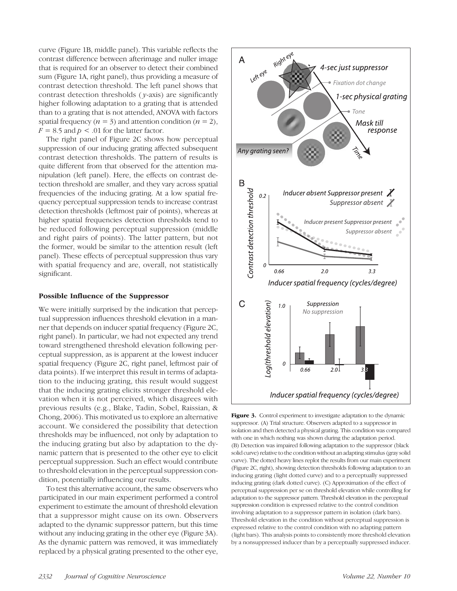curve (Figure 1B, middle panel). This variable reflects the contrast difference between afterimage and nuller image that is required for an observer to detect their combined sum (Figure 1A, right panel), thus providing a measure of contrast detection threshold. The left panel shows that contrast detection thresholds  $(y-axis)$  are significantly higher following adaptation to a grating that is attended than to a grating that is not attended, ANOVA with factors spatial frequency  $(n = 3)$  and attention condition  $(n = 2)$ ,  $F = 8.5$  and  $p < .01$  for the latter factor.

The right panel of Figure 2C shows how perceptual suppression of our inducing grating affected subsequent contrast detection thresholds. The pattern of results is quite different from that observed for the attention manipulation (left panel). Here, the effects on contrast detection threshold are smaller, and they vary across spatial frequencies of the inducing grating. At a low spatial frequency perceptual suppression tends to increase contrast detection thresholds (leftmost pair of points), whereas at higher spatial frequencies detection thresholds tend to be reduced following perceptual suppression (middle and right pairs of points). The latter pattern, but not the former, would be similar to the attention result (left panel). These effects of perceptual suppression thus vary with spatial frequency and are, overall, not statistically significant.

## Possible Influence of the Suppressor

We were initially surprised by the indication that perceptual suppression influences threshold elevation in a manner that depends on inducer spatial frequency (Figure 2C, right panel). In particular, we had not expected any trend toward strengthened threshold elevation following perceptual suppression, as is apparent at the lowest inducer spatial frequency (Figure 2C, right panel, leftmost pair of data points). If we interpret this result in terms of adaptation to the inducing grating, this result would suggest that the inducing grating elicits stronger threshold elevation when it is not perceived, which disagrees with previous results (e.g., Blake, Tadin, Sobel, Raissian, & Chong, 2006). This motivated us to explore an alternative account. We considered the possibility that detection thresholds may be influenced, not only by adaptation to the inducing grating but also by adaptation to the dynamic pattern that is presented to the other eye to elicit perceptual suppression. Such an effect would contribute to threshold elevation in the perceptual suppression condition, potentially influencing our results.

To test this alternative account, the same observers who participated in our main experiment performed a control experiment to estimate the amount of threshold elevation that a suppressor might cause on its own. Observers adapted to the dynamic suppressor pattern, but this time without any inducing grating in the other eye (Figure 3A). As the dynamic pattern was removed, it was immediately replaced by a physical grating presented to the other eye,



Figure 3. Control experiment to investigate adaptation to the dynamic suppressor. (A) Trial structure. Observers adapted to a suppressor in isolation and then detected a physical grating. This condition was compared with one in which nothing was shown during the adaptation period. (B) Detection was impaired following adaptation to the suppressor (black solid curve) relative to the condition without an adapting stimulus (gray solid curve). The dotted heavy lines replot the results from our main experiment (Figure 2C, right), showing detection thresholds following adaptation to an inducing grating (light dotted curve) and to a perceptually suppressed inducing grating (dark dotted curve). (C) Approximation of the effect of perceptual suppression per se on threshold elevation while controlling for adaptation to the suppressor pattern. Threshold elevation in the perceptual suppression condition is expressed relative to the control condition involving adaptation to a suppressor pattern in isolation (dark bars). Threshold elevation in the condition without perceptual suppression is expressed relative to the control condition with no adapting pattern (light bars). This analysis points to consistently more threshold elevation by a nonsuppressed inducer than by a perceptually suppressed inducer.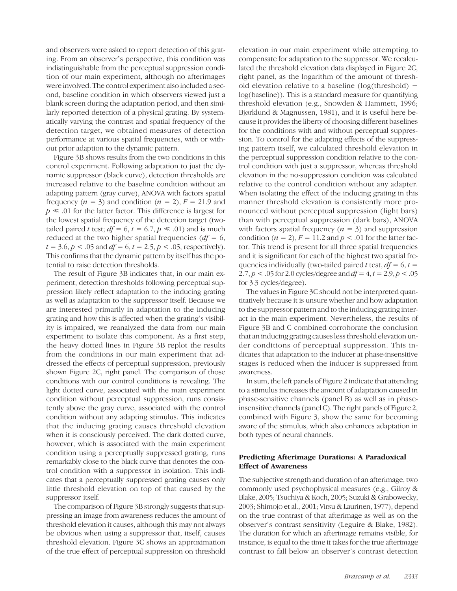and observers were asked to report detection of this grating. From an observer's perspective, this condition was indistinguishable from the perceptual suppression condition of our main experiment, although no afterimages were involved. The control experiment also included a second, baseline condition in which observers viewed just a blank screen during the adaptation period, and then similarly reported detection of a physical grating. By systematically varying the contrast and spatial frequency of the detection target, we obtained measures of detection performance at various spatial frequencies, with or without prior adaption to the dynamic pattern.

Figure 3B shows results from the two conditions in this control experiment. Following adaptation to just the dynamic suppressor (black curve), detection thresholds are increased relative to the baseline condition without an adapting pattern (gray curve), ANOVA with factors spatial frequency  $(n = 3)$  and condition  $(n = 2)$ ,  $F = 21.9$  and  $p \ll 0.01$  for the latter factor. This difference is largest for the lowest spatial frequency of the detection target (twotailed paired t test;  $df = 6$ ,  $t = 6.7$ ,  $p \ll .01$ ) and is much reduced at the two higher spatial frequencies  $(df = 6$ ,  $t = 3.6, p < .05$  and  $df = 6, t = 2.5, p < .05$ , respectively). This confirms that the dynamic pattern by itself has the potential to raise detection thresholds.

The result of Figure 3B indicates that, in our main experiment, detection thresholds following perceptual suppression likely reflect adaptation to the inducing grating as well as adaptation to the suppressor itself. Because we are interested primarily in adaptation to the inducing grating and how this is affected when the grating's visibility is impaired, we reanalyzed the data from our main experiment to isolate this component. As a first step, the heavy dotted lines in Figure 3B replot the results from the conditions in our main experiment that addressed the effects of perceptual suppression, previously shown Figure 2C, right panel. The comparison of those conditions with our control conditions is revealing. The light dotted curve, associated with the main experiment condition without perceptual suppression, runs consistently above the gray curve, associated with the control condition without any adapting stimulus. This indicates that the inducing grating causes threshold elevation when it is consciously perceived. The dark dotted curve, however, which is associated with the main experiment condition using a perceptually suppressed grating, runs remarkably close to the black curve that denotes the control condition with a suppressor in isolation. This indicates that a perceptually suppressed grating causes only little threshold elevation on top of that caused by the suppressor itself.

The comparison of Figure 3B strongly suggests that suppressing an image from awareness reduces the amount of threshold elevation it causes, although this may not always be obvious when using a suppressor that, itself, causes threshold elevation. Figure 3C shows an approximation of the true effect of perceptual suppression on threshold

elevation in our main experiment while attempting to compensate for adaptation to the suppressor. We recalculated the threshold elevation data displayed in Figure 2C, right panel, as the logarithm of the amount of threshold elevation relative to a baseline (log(threshold) − log(baseline)). This is a standard measure for quantifying threshold elevation (e.g., Snowden & Hammett, 1996; Bjørklund & Magnussen, 1981), and it is useful here because it provides the liberty of choosing different baselines for the conditions with and without perceptual suppression. To control for the adapting effects of the suppressing pattern itself, we calculated threshold elevation in the perceptual suppression condition relative to the control condition with just a suppressor, whereas threshold elevation in the no-suppression condition was calculated relative to the control condition without any adapter. When isolating the effect of the inducing grating in this manner threshold elevation is consistently more pronounced without perceptual suppression (light bars) than with perceptual suppression (dark bars), ANOVA with factors spatial frequency  $(n = 3)$  and suppression condition ( $n = 2$ ),  $F = 11.2$  and  $p < 0.01$  for the latter factor. This trend is present for all three spatial frequencies and it is significant for each of the highest two spatial frequencies individually (two-tailed paired t test,  $df = 6$ ,  $t =$ 2.7,  $p < .05$  for 2.0 cycles/degree and  $df = 4$ ,  $t = 2.9$ ,  $p < .05$ for 3.3 cycles/degree).

The values in Figure 3C should not be interpreted quantitatively because it is unsure whether and how adaptation to the suppressor pattern and to the inducing grating interact in the main experiment. Nevertheless, the results of Figure 3B and C combined corroborate the conclusion that an inducing grating causes less threshold elevation under conditions of perceptual suppression. This indicates that adaptation to the inducer at phase-insensitive stages is reduced when the inducer is suppressed from awareness.

In sum, the left panels of Figure 2 indicate that attending to a stimulus increases the amount of adaptation caused in phase-sensitive channels (panel B) as well as in phaseinsensitive channels (panel C). The right panels of Figure 2, combined with Figure 3, show the same for becoming aware of the stimulus, which also enhances adaptation in both types of neural channels.

# Predicting Afterimage Durations: A Paradoxical Effect of Awareness

The subjective strength and duration of an afterimage, two commonly used psychophysical measures (e.g., Gilroy & Blake, 2005; Tsuchiya & Koch, 2005; Suzuki & Grabowecky, 2003; Shimojo et al., 2001; Virsu & Laurinen, 1977), depend on the true contrast of that afterimage as well as on the observer's contrast sensitivity (Leguire & Blake, 1982). The duration for which an afterimage remains visible, for instance, is equal to the time it takes for the true afterimage contrast to fall below an observer's contrast detection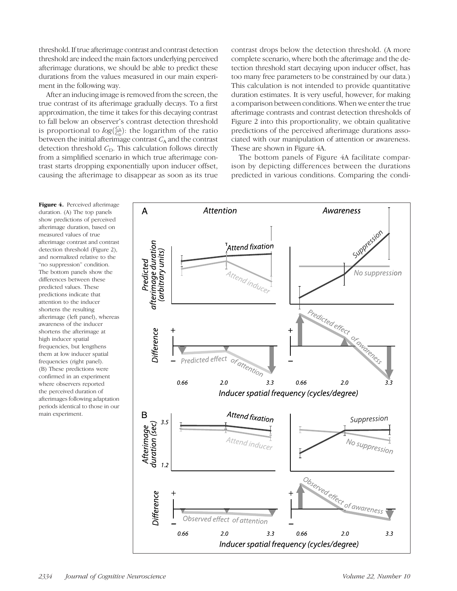threshold. If true afterimage contrast and contrast detection threshold are indeed the main factors underlying perceived afterimage durations, we should be able to predict these durations from the values measured in our main experiment in the following way.

After an inducing image is removed from the screen, the true contrast of its afterimage gradually decays. To a first approximation, the time it takes for this decaying contrast to fall below an observer's contrast detection threshold is proportional to  $log(\frac{C_A}{C_D})$ : the logarithm of the ratio between the initial afterimage contrast  $C_A$  and the contrast detection threshold  $C_D$ . This calculation follows directly from a simplified scenario in which true afterimage contrast starts dropping exponentially upon inducer offset, causing the afterimage to disappear as soon as its true contrast drops below the detection threshold. (A more complete scenario, where both the afterimage and the detection threshold start decaying upon inducer offset, has too many free parameters to be constrained by our data.) This calculation is not intended to provide quantitative duration estimates. It is very useful, however, for making a comparison between conditions. When we enter the true afterimage contrasts and contrast detection thresholds of Figure 2 into this proportionality, we obtain qualitative predictions of the perceived afterimage durations associated with our manipulation of attention or awareness. These are shown in Figure 4A.

The bottom panels of Figure 4A facilitate comparison by depicting differences between the durations predicted in various conditions. Comparing the condi-

Attention Awareness A afterimage duratior Attend fixation arbitrary units, Predicted No suppression tend inducer Predicted effect or outreme **Difference** Predicted effect of attention 0.66  $2.0$  $3.3$ 0.66  $2.0$  $3.3$ Inducer spatial frequency (cycles/degree) Attend fixation В Suppression  $3.5$ duration (sec fterimage Attend induce No suppression observed effect of awareness Difference Observed effect of attention  $3.3$ 0.66  $2.0$ 0.66  $2.0$  $3.3$ Inducer spatial frequency (cycles/degree)

duration. (A) The top panels show predictions of perceived afterimage duration, based on measured values of true afterimage contrast and contrast detection threshold (Figure 2), and normalized relative to the "no suppression" condition. The bottom panels show the differences between these predicted values. These predictions indicate that attention to the inducer shortens the resulting afterimage (left panel), whereas awareness of the inducer shortens the afterimage at high inducer spatial frequencies, but lengthens them at low inducer spatial frequencies (right panel). (B) These predictions were confirmed in an experiment where observers reported the perceived duration of afterimages following adaptation periods identical to those in our main experiment.

Figure 4. Perceived afterimage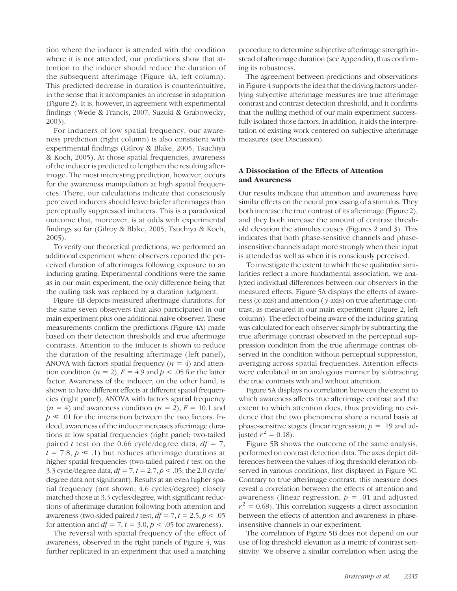tion where the inducer is attended with the condition where it is not attended, our predictions show that attention to the inducer should reduce the duration of the subsequent afterimage (Figure 4A, left column). This predicted decrease in duration is counterintuitive, in the sense that it accompanies an increase in adaptation (Figure 2). It is, however, in agreement with experimental findings (Wede & Francis, 2007; Suzuki & Grabowecky, 2003).

For inducers of low spatial frequency, our awareness prediction (right column) is also consistent with experimental findings (Gilroy & Blake, 2005; Tsuchiya & Koch, 2005). At those spatial frequencies, awareness of the inducer is predicted to lengthen the resulting afterimage. The most interesting prediction, however, occurs for the awareness manipulation at high spatial frequencies. There, our calculations indicate that consciously perceived inducers should leave briefer afterimages than perceptually suppressed inducers. This is a paradoxical outcome that, moreover, is at odds with experimental findings so far (Gilroy & Blake, 2005; Tsuchiya & Koch, 2005).

To verify our theoretical predictions, we performed an additional experiment where observers reported the perceived duration of afterimages following exposure to an inducing grating. Experimental conditions were the same as in our main experiment, the only difference being that the nulling task was replaced by a duration judgment.

Figure 4B depicts measured afterimage durations, for the same seven observers that also participated in our main experiment plus one additional naive observer. These measurements confirm the predictions (Figure 4A) made based on their detection thresholds and true afterimage contrasts. Attention to the inducer is shown to reduce the duration of the resulting afterimage (left panel), ANOVA with factors spatial frequency  $(n = 4)$  and attention condition ( $n = 2$ ),  $F = 4.9$  and  $p < .05$  for the latter factor. Awareness of the inducer, on the other hand, is shown to have different effects at different spatial frequencies (right panel), ANOVA with factors spatial frequency  $(n = 4)$  and awareness condition  $(n = 2)$ ,  $F = 10.1$  and  $p \ll 0.01$  for the interaction between the two factors. Indeed, awareness of the inducer increases afterimage durations at low spatial frequencies (right panel; two-tailed paired t test on the 0.66 cycle/degree data,  $df = 7$ ,  $t = 7.8$ ,  $p \ll 0.1$  but reduces afterimage durations at higher spatial frequencies (two-tailed paired  $t$  test on the 3.3 cycle/degree data,  $df = 7$ ,  $t = 2.7$ ,  $p < .05$ ; the 2.0 cycle/ degree data not significant). Results at an even higher spatial frequency (not shown; 4.6 cycles/degree) closely matched those at 3.3 cycles/degree, with significant reductions of afterimage duration following both attention and awareness (two-sided paired t test,  $df = 7$ ,  $t = 2.5$ ,  $p < .05$ for attention and  $df = 7$ ,  $t = 3.0$ ,  $p < .05$  for awareness).

The reversal with spatial frequency of the effect of awareness, observed in the right panels of Figure 4, was further replicated in an experiment that used a matching

procedure to determine subjective afterimage strength instead of afterimage duration (see Appendix), thus confirming its robustness.

The agreement between predictions and observations in Figure 4 supports the idea that the driving factors underlying subjective afterimage measures are true afterimage contrast and contrast detection threshold, and it confirms that the nulling method of our main experiment successfully isolated those factors. In addition, it aids the interpretation of existing work centered on subjective afterimage measures (see Discussion).

# A Dissociation of the Effects of Attention and Awareness

Our results indicate that attention and awareness have similar effects on the neural processing of a stimulus. They both increase the true contrast of its afterimage (Figure 2), and they both increase the amount of contrast threshold elevation the stimulus causes (Figures 2 and 3). This indicates that both phase-sensitive channels and phaseinsensitive channels adapt more strongly when their input is attended as well as when it is consciously perceived.

To investigate the extent to which these qualitative similarities reflect a more fundamental association, we analyzed individual differences between our observers in the measured effects. Figure 5A displays the effects of awareness (x-axis) and attention ( $\nu$ -axis) on true afterimage contrast, as measured in our main experiment (Figure 2, left column). The effect of being aware of the inducing grating was calculated for each observer simply by subtracting the true afterimage contrast observed in the perceptual suppression condition from the true afterimage contrast observed in the condition without perceptual suppression, averaging across spatial frequencies. Attention effects were calculated in an analogous manner by subtracting the true contrasts with and without attention.

Figure 5A displays no correlation between the extent to which awareness affects true afterimage contrast and the extent to which attention does, thus providing no evidence that the two phenomena share a neural basis at phase-sensitive stages (linear regression;  $p = .19$  and adjusted  $r^2 = 0.18$ ).

Figure 5B shows the outcome of the same analysis, performed on contrast detection data. The axes depict differences between the values of log threshold elevation observed in various conditions, first displayed in Figure 3C. Contrary to true afterimage contrast, this measure does reveal a correlation between the effects of attention and awareness (linear regression;  $p = .01$  and adjusted  $r^2$  = 0.68). This correlation suggests a direct association between the effects of attention and awareness in phaseinsensitive channels in our experiment.

The correlation of Figure 5B does not depend on our use of log threshold elevation as a metric of contrast sensitivity. We observe a similar correlation when using the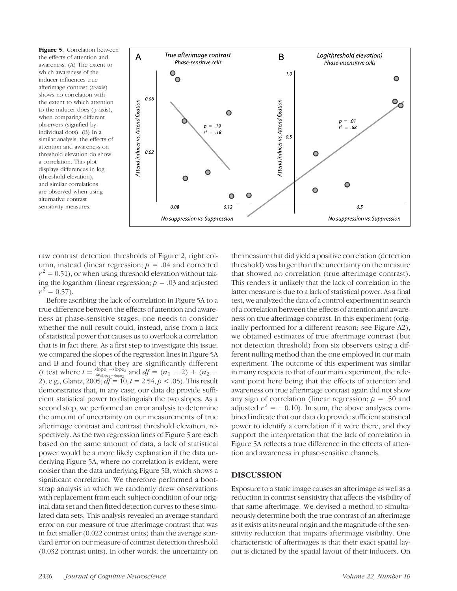Figure 5. Correlation between the effects of attention and awareness. (A) The extent to which awareness of the inducer influences true afterimage contrast (x-axis) shows no correlation with the extent to which attention to the inducer does  $(y\text{-axis})$ , when comparing different observers (signified by individual dots). (B) In a similar analysis, the effects of attention and awareness on threshold elevation do show a correlation. This plot displays differences in log (threshold elevation), and similar correlations are observed when using alternative contrast sensitivity measures.



raw contrast detection thresholds of Figure 2, right column, instead (linear regression;  $p = .04$  and corrected  $r^2$  = 0.51), or when using threshold elevation without taking the logarithm (linear regression;  $p = .03$  and adjusted  $r^2 = 0.57$ .

Before ascribing the lack of correlation in Figure 5A to a true difference between the effects of attention and awareness at phase-sensitive stages, one needs to consider whether the null result could, instead, arise from a lack of statistical power that causes us to overlook a correlation that is in fact there. As a first step to investigate this issue, we compared the slopes of the regression lines in Figure 5A and B and found that they are significantly different (*t* test where  $t = \frac{\text{slope}_1 - \text{slope}_2)}{\text{slope}_1 - \text{slope}_2}$  and  $df = (n_1 - 2) + (n_2 - 1)$ 2), e.g., Glantz, 2005;  $df = 10$ ,  $t = 2.54$ ,  $p < .05$ ). This result demonstrates that, in any case, our data do provide sufficient statistical power to distinguish the two slopes. As a second step, we performed an error analysis to determine the amount of uncertainty on our measurements of true afterimage contrast and contrast threshold elevation, respectively. As the two regression lines of Figure 5 are each based on the same amount of data, a lack of statistical power would be a more likely explanation if the data underlying Figure 5A, where no correlation is evident, were noisier than the data underlying Figure 5B, which shows a significant correlation. We therefore performed a bootstrap analysis in which we randomly drew observations with replacement from each subject-condition of our original data set and then fitted detection curves to these simulated data sets. This analysis revealed an average standard error on our measure of true afterimage contrast that was in fact smaller (0.022 contrast units) than the average standard error on our measure of contrast detection threshold (0.032 contrast units). In other words, the uncertainty on

the measure that did yield a positive correlation (detection threshold) was larger than the uncertainty on the measure that showed no correlation (true afterimage contrast). This renders it unlikely that the lack of correlation in the latter measure is due to a lack of statistical power. As a final test, we analyzed the data of a control experiment in search of a correlation between the effects of attention and awareness on true afterimage contrast. In this experiment (originally performed for a different reason; see Figure A2), we obtained estimates of true afterimage contrast (but not detection threshold) from six observers using a different nulling method than the one employed in our main experiment. The outcome of this experiment was similar in many respects to that of our main experiment, the relevant point here being that the effects of attention and awareness on true afterimage contrast again did not show any sign of correlation (linear regression;  $p = .50$  and adjusted  $r^2 = -0.10$ ). In sum, the above analyses combined indicate that our data do provide sufficient statistical power to identify a correlation if it were there, and they support the interpretation that the lack of correlation in Figure 5A reflects a true difference in the effects of attention and awareness in phase-sensitive channels.

# DISCUSSION

Exposure to a static image causes an afterimage as well as a reduction in contrast sensitivity that affects the visibility of that same afterimage. We devised a method to simultaneously determine both the true contrast of an afterimage as it exists at its neural origin and the magnitude of the sensitivity reduction that impairs afterimage visibility. One characteristic of afterimages is that their exact spatial layout is dictated by the spatial layout of their inducers. On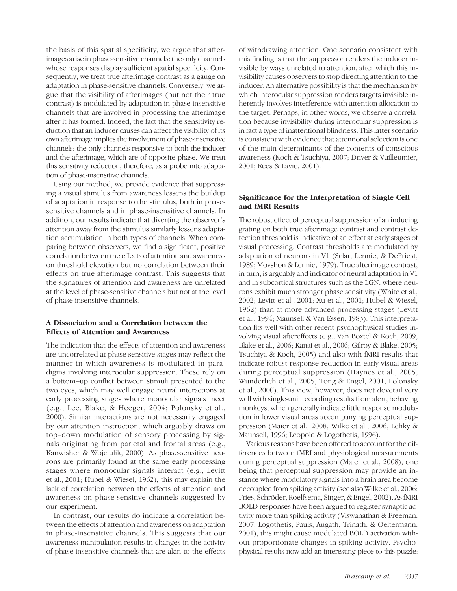the basis of this spatial specificity, we argue that afterimages arise in phase-sensitive channels: the only channels whose responses display sufficient spatial specificity. Consequently, we treat true afterimage contrast as a gauge on adaptation in phase-sensitive channels. Conversely, we argue that the visibility of afterimages (but not their true contrast) is modulated by adaptation in phase-insensitive channels that are involved in processing the afterimage after it has formed. Indeed, the fact that the sensitivity reduction that an inducer causes can affect the visibility of its own afterimage implies the involvement of phase-insensitive channels: the only channels responsive to both the inducer and the afterimage, which are of opposite phase. We treat this sensitivity reduction, therefore, as a probe into adaptation of phase-insensitive channels.

Using our method, we provide evidence that suppressing a visual stimulus from awareness lessens the buildup of adaptation in response to the stimulus, both in phasesensitive channels and in phase-insensitive channels. In addition, our results indicate that diverting the observer's attention away from the stimulus similarly lessens adaptation accumulation in both types of channels. When comparing between observers, we find a significant, positive correlation between the effects of attention and awareness on threshold elevation but no correlation between their effects on true afterimage contrast. This suggests that the signatures of attention and awareness are unrelated at the level of phase-sensitive channels but not at the level of phase-insensitive channels.

# A Dissociation and a Correlation between the Effects of Attention and Awareness

The indication that the effects of attention and awareness are uncorrelated at phase-sensitive stages may reflect the manner in which awareness is modulated in paradigms involving interocular suppression. These rely on a bottom–up conflict between stimuli presented to the two eyes, which may well engage neural interactions at early processing stages where monocular signals meet (e.g., Lee, Blake, & Heeger, 2004; Polonsky et al., 2000). Similar interactions are not necessarily engaged by our attention instruction, which arguably draws on top–down modulation of sensory processing by signals originating from parietal and frontal areas (e.g., Kanwisher & Wojciulik, 2000). As phase-sensitive neurons are primarily found at the same early processing stages where monocular signals interact (e.g., Levitt et al., 2001; Hubel & Wiesel, 1962), this may explain the lack of correlation between the effects of attention and awareness on phase-sensitive channels suggested by our experiment.

In contrast, our results do indicate a correlation between the effects of attention and awareness on adaptation in phase-insensitive channels. This suggests that our awareness manipulation results in changes in the activity of phase-insensitive channels that are akin to the effects of withdrawing attention. One scenario consistent with this finding is that the suppressor renders the inducer invisible by ways unrelated to attention, after which this invisibility causes observers to stop directing attention to the inducer. An alternative possibility is that the mechanism by which interocular suppression renders targets invisible inherently involves interference with attention allocation to the target. Perhaps, in other words, we observe a correlation because invisibility during interocular suppression is in fact a type of inattentional blindness. This latter scenario is consistent with evidence that attentional selection is one of the main determinants of the contents of conscious awareness (Koch & Tsuchiya, 2007; Driver & Vuilleumier, 2001; Rees & Lavie, 2001).

# Significance for the Interpretation of Single Cell and fMRI Results

The robust effect of perceptual suppression of an inducing grating on both true afterimage contrast and contrast detection threshold is indicative of an effect at early stages of visual processing. Contrast thresholds are modulated by adaptation of neurons in V1 (Sclar, Lennie, & DePriest, 1989; Movshon & Lennie, 1979). True afterimage contrast, in turn, is arguably and indicator of neural adaptation in V1 and in subcortical structures such as the LGN, where neurons exhibit much stronger phase sensitivity (White et al., 2002; Levitt et al., 2001; Xu et al., 2001; Hubel & Wiesel, 1962) than at more advanced processing stages (Levitt et al., 1994; Maunsell & Van Essen, 1983). This interpretation fits well with other recent psychophysical studies involving visual aftereffects (e.g., Van Boxtel & Koch, 2009; Blake et al., 2006; Kanai et al., 2006; Gilroy & Blake, 2005; Tsuchiya & Koch, 2005) and also with fMRI results that indicate robust response reduction in early visual areas during perceptual suppression (Haynes et al., 2005; Wunderlich et al., 2005; Tong & Engel, 2001; Polonsky et al., 2000). This view, however, does not dovetail very well with single-unit recording results from alert, behaving monkeys, which generally indicate little response modulation in lower visual areas accompanying perceptual suppression (Maier et al., 2008; Wilke et al., 2006; Lehky & Maunsell, 1996; Leopold & Logothetis, 1996).

Various reasons have been offered to account for the differences between fMRI and physiological measurements during perceptual suppression (Maier et al., 2008), one being that perceptual suppression may provide an instance where modulatory signals into a brain area become decoupled from spiking activity (see also Wilke et al., 2006; Fries, Schröder, Roelfsema, Singer, & Engel, 2002). As fMRI BOLD responses have been argued to register synaptic activity more than spiking activity (Viswanathan & Freeman, 2007; Logothetis, Pauls, Augath, Trinath, & Oeltermann, 2001), this might cause modulated BOLD activation without proportionate changes in spiking activity. Psychophysical results now add an interesting piece to this puzzle: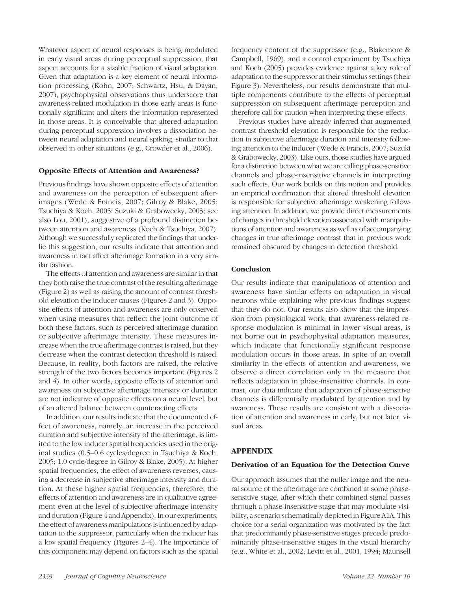Whatever aspect of neural responses is being modulated in early visual areas during perceptual suppression, that aspect accounts for a sizable fraction of visual adaptation. Given that adaptation is a key element of neural information processing (Kohn, 2007; Schwartz, Hsu, & Dayan, 2007), psychophysical observations thus underscore that awareness-related modulation in those early areas is functionally significant and alters the information represented in those areas. It is conceivable that altered adaptation during perceptual suppression involves a dissociation between neural adaptation and neural spiking, similar to that observed in other situations (e.g., Crowder et al., 2006).

## Opposite Effects of Attention and Awareness?

Previous findings have shown opposite effects of attention and awareness on the perception of subsequent afterimages (Wede & Francis, 2007; Gilroy & Blake, 2005; Tsuchiya & Koch, 2005; Suzuki & Grabowecky, 2003; see also Lou, 2001), suggestive of a profound distinction between attention and awareness (Koch & Tsuchiya, 2007). Although we successfully replicated the findings that underlie this suggestion, our results indicate that attention and awareness in fact affect afterimage formation in a very similar fashion.

The effects of attention and awareness are similar in that they both raise the true contrast of the resulting afterimage (Figure 2) as well as raising the amount of contrast threshold elevation the inducer causes (Figures 2 and 3). Opposite effects of attention and awareness are only observed when using measures that reflect the joint outcome of both these factors, such as perceived afterimage duration or subjective afterimage intensity. These measures increase when the true afterimage contrast is raised, but they decrease when the contrast detection threshold is raised. Because, in reality, both factors are raised, the relative strength of the two factors becomes important (Figures 2 and 4). In other words, opposite effects of attention and awareness on subjective afterimage intensity or duration are not indicative of opposite effects on a neural level, but of an altered balance between counteracting effects.

In addition, our results indicate that the documented effect of awareness, namely, an increase in the perceived duration and subjective intensity of the afterimage, is limited to the low inducer spatial frequencies used in the original studies (0.5–0.6 cycles/degree in Tsuchiya & Koch, 2005; 1.0 cycle/degree in Gilroy & Blake, 2005). At higher spatial frequencies, the effect of awareness reverses, causing a decrease in subjective afterimage intensity and duration. At these higher spatial frequencies, therefore, the effects of attention and awareness are in qualitative agreement even at the level of subjective afterimage intensity and duration (Figure 4 and Appendix). In our experiments, the effect of awareness manipulations is influenced by adaptation to the suppressor, particularly when the inducer has a low spatial frequency (Figures 2–4). The importance of this component may depend on factors such as the spatial

frequency content of the suppressor (e.g., Blakemore & Campbell, 1969), and a control experiment by Tsuchiya and Koch (2005) provides evidence against a key role of adaptation to the suppressor at their stimulus settings (their Figure 3). Nevertheless, our results demonstrate that multiple components contribute to the effects of perceptual suppression on subsequent afterimage perception and therefore call for caution when interpreting these effects.

Previous studies have already inferred that augmented contrast threshold elevation is responsible for the reduction in subjective afterimage duration and intensity following attention to the inducer (Wede & Francis, 2007; Suzuki & Grabowecky, 2003). Like ours, those studies have argued for a distinction between what we are calling phase-sensitive channels and phase-insensitive channels in interpreting such effects. Our work builds on this notion and provides an empirical confirmation that altered threshold elevation is responsible for subjective afterimage weakening following attention. In addition, we provide direct measurements of changes in threshold elevation associated with manipulations of attention and awareness as well as of accompanying changes in true afterimage contrast that in previous work remained obscured by changes in detection threshold.

## Conclusion

Our results indicate that manipulations of attention and awareness have similar effects on adaptation in visual neurons while explaining why previous findings suggest that they do not. Our results also show that the impression from physiological work, that awareness-related response modulation is minimal in lower visual areas, is not borne out in psychophysical adaptation measures, which indicate that functionally significant response modulation occurs in those areas. In spite of an overall similarity in the effects of attention and awareness, we observe a direct correlation only in the measure that reflects adaptation in phase-insensitive channels. In contrast, our data indicate that adaptation of phase-sensitive channels is differentially modulated by attention and by awareness. These results are consistent with a dissociation of attention and awareness in early, but not later, visual areas.

## APPENDIX

# Derivation of an Equation for the Detection Curve

Our approach assumes that the nuller image and the neural source of the afterimage are combined at some phasesensitive stage, after which their combined signal passes through a phase-insensitive stage that may modulate visibility, a scenario schematically depicted in Figure A1A. This choice for a serial organization was motivated by the fact that predominantly phase-sensitive stages precede predominantly phase-insensitive stages in the visual hierarchy (e.g., White et al., 2002; Levitt et al., 2001, 1994; Maunsell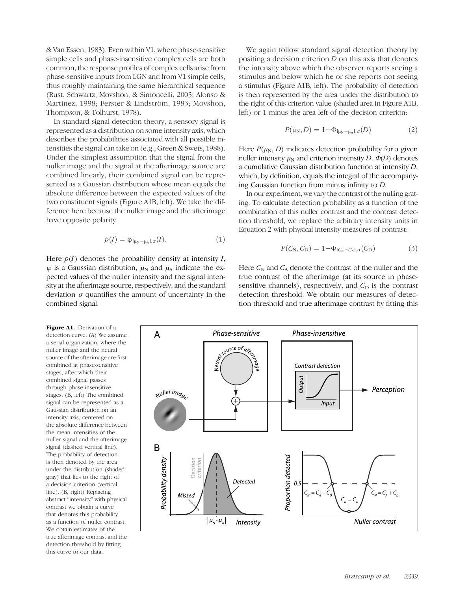& Van Essen, 1983). Even within V1, where phase-sensitive simple cells and phase-insensitive complex cells are both common, the response profiles of complex cells arise from phase-sensitive inputs from LGN and from V1 simple cells, thus roughly maintaining the same hierarchical sequence (Rust, Schwartz, Movshon, & Simoncelli, 2005; Alonso & Martinez, 1998; Ferster & Lindström, 1983; Movshon, Thompson, & Tolhurst, 1978).

In standard signal detection theory, a sensory signal is represented as a distribution on some intensity axis, which describes the probabilities associated with all possible intensities the signal can take on (e.g., Green & Swets, 1988). Under the simplest assumption that the signal from the nuller image and the signal at the afterimage source are combined linearly, their combined signal can be represented as a Gaussian distribution whose mean equals the absolute difference between the expected values of the two constituent signals (Figure A1B, left). We take the difference here because the nuller image and the afterimage have opposite polarity.

$$
p(I) = \varphi_{|\mu_N - \mu_A|, \sigma}(I). \tag{1}
$$

Here  $p(I)$  denotes the probability density at intensity I,  $\varphi$  is a Gaussian distribution,  $\mu_N$  and  $\mu_A$  indicate the expected values of the nuller intensity and the signal intensity at the afterimage source, respectively, and the standard deviation  $\sigma$  quantifies the amount of uncertainty in the combined signal.

We again follow standard signal detection theory by positing a decision criterion  $D$  on this axis that denotes the intensity above which the observer reports seeing a stimulus and below which he or she reports not seeing a stimulus (Figure A1B, left). The probability of detection is then represented by the area under the distribution to the right of this criterion value (shaded area in Figure A1B, left) or 1 minus the area left of the decision criterion:

$$
P(\mu_N, D) = 1 - \Phi_{|\mu_N - \mu_A|, \sigma}(D) \tag{2}
$$

Here  $P(\mu_N, D)$  indicates detection probability for a given nuller intensity  $\mu_N$  and criterion intensity D.  $\Phi(D)$  denotes a cumulative Gaussian distribution function at intensity D, which, by definition, equals the integral of the accompanying Gaussian function from minus infinity to D.

In our experiment, we vary the contrast of the nulling grating. To calculate detection probability as a function of the combination of this nuller contrast and the contrast detection threshold, we replace the arbitrary intensity units in Equation 2 with physical intensity measures of contrast:

$$
P(C_{\rm N}, C_{\rm D}) = 1 - \Phi_{\rm IC_{\rm N}-C_{\rm A}, \sigma}(C_{\rm D}) \tag{3}
$$

Here  $C_N$  and  $C_A$  denote the contrast of the nuller and the true contrast of the afterimage (at its source in phasesensitive channels), respectively, and  $C_D$  is the contrast detection threshold. We obtain our measures of detection threshold and true afterimage contrast by fitting this

Figure A1. Derivation of a detection curve. (A) We assume a serial organization, where the nuller image and the neural source of the afterimage are first combined at phase-sensitive stages, after which their combined signal passes through phase-insensitive stages. (B, left) The combined signal can be represented as a Gaussian distribution on an intensity axis, centered on the absolute difference between the mean intensities of the nuller signal and the afterimage signal (dashed vertical line). The probability of detection is then denoted by the area under the distribution (shaded gray) that lies to the right of a decision criterion (vertical line). (B, right) Replacing abstract "intensity" with physical contrast we obtain a curve that denotes this probability as a function of nuller contrast. We obtain estimates of the true afterimage contrast and the detection threshold by fitting this curve to our data.

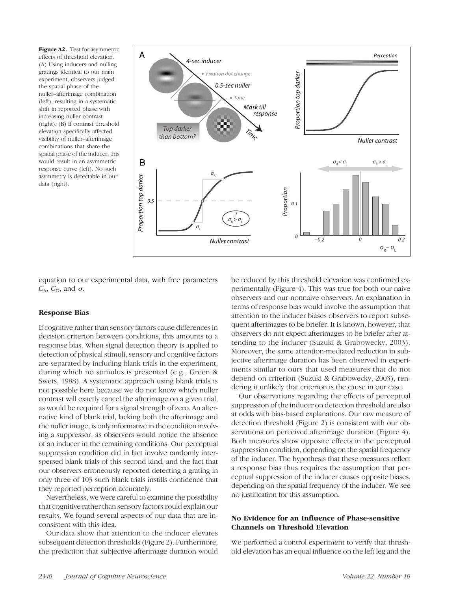Figure A2. Test for asymmetric effects of threshold elevation. (A) Using inducers and nulling gratings identical to our main experiment, observers judged the spatial phase of the nuller–afterimage combination (left), resulting in a systematic shift in reported phase with increasing nuller contrast (right). (B) If contrast threshold elevation specifically affected visibility of nuller–afterimage combinations that share the spatial phase of the inducer, this would result in an asymmetric response curve (left). No such asymmetry is detectable in our data (right).



equation to our experimental data, with free parameters  $C_A$ ,  $C_D$ , and  $\sigma$ .

#### Response Bias

If cognitive rather than sensory factors cause differences in decision criterion between conditions, this amounts to a response bias. When signal detection theory is applied to detection of physical stimuli, sensory and cognitive factors are separated by including blank trials in the experiment, during which no stimulus is presented (e.g., Green & Swets, 1988). A systematic approach using blank trials is not possible here because we do not know which nuller contrast will exactly cancel the afterimage on a given trial, as would be required for a signal strength of zero. An alternative kind of blank trial, lacking both the afterimage and the nuller image, is only informative in the condition involving a suppressor, as observers would notice the absence of an inducer in the remaining conditions. Our perceptual suppression condition did in fact involve randomly interspersed blank trials of this second kind, and the fact that our observers erroneously reported detecting a grating in only three of 103 such blank trials instills confidence that they reported perception accurately.

Nevertheless, we were careful to examine the possibility that cognitive rather than sensory factors could explain our results. We found several aspects of our data that are inconsistent with this idea.

Our data show that attention to the inducer elevates subsequent detection thresholds (Figure 2). Furthermore, the prediction that subjective afterimage duration would be reduced by this threshold elevation was confirmed experimentally (Figure 4). This was true for both our naive observers and our nonnaive observers. An explanation in terms of response bias would involve the assumption that attention to the inducer biases observers to report subsequent afterimages to be briefer. It is known, however, that observers do not expect afterimages to be briefer after attending to the inducer (Suzuki & Grabowecky, 2003). Moreover, the same attention-mediated reduction in subjective afterimage duration has been observed in experiments similar to ours that used measures that do not depend on criterion (Suzuki & Grabowecky, 2003), rendering it unlikely that criterion is the cause in our case.

Our observations regarding the effects of perceptual suppression of the inducer on detection threshold are also at odds with bias-based explanations. Our raw measure of detection threshold (Figure 2) is consistent with our observations on perceived afterimage duration (Figure 4). Both measures show opposite effects in the perceptual suppression condition, depending on the spatial frequency of the inducer. The hypothesis that these measures reflect a response bias thus requires the assumption that perceptual suppression of the inducer causes opposite biases, depending on the spatial frequency of the inducer. We see no justification for this assumption.

# No Evidence for an Influence of Phase-sensitive Channels on Threshold Elevation

We performed a control experiment to verify that threshold elevation has an equal influence on the left leg and the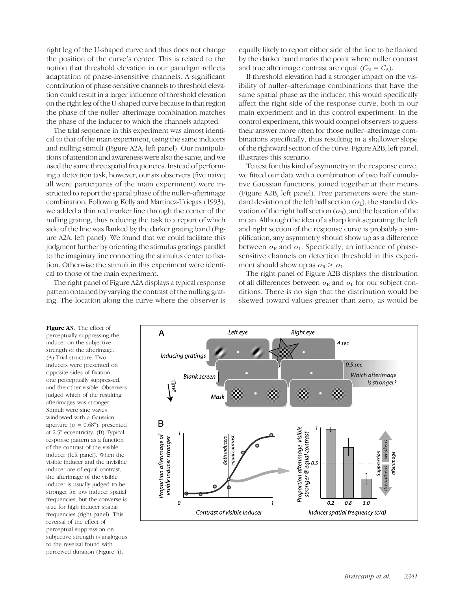right leg of the U-shaped curve and thus does not change the position of the curve's center. This is related to the notion that threshold elevation in our paradigm reflects adaptation of phase-insensitive channels. A significant contribution of phase-sensitive channels to threshold elevation could result in a larger influence of threshold elevation on the right leg of the U-shaped curve because in that region the phase of the nuller–afterimage combination matches the phase of the inducer to which the channels adapted.

The trial sequence in this experiment was almost identical to that of the main experiment, using the same inducers and nulling stimuli (Figure A2A, left panel). Our manipulations of attention and awareness were also the same, and we used the same three spatial frequencies. Instead of performing a detection task, however, our six observers (five naive; all were participants of the main experiment) were instructed to report the spatial phase of the nuller–afterimage combination. Following Kelly and Martinez-Uriegas (1993), we added a thin red marker line through the center of the nulling grating, thus reducing the task to a report of which side of the line was flanked by the darker grating band (Figure A2A, left panel). We found that we could facilitate this judgment further by orienting the stimulus gratings parallel to the imaginary line connecting the stimulus center to fixation. Otherwise the stimuli in this experiment were identical to those of the main experiment.

The right panel of Figure A2A displays a typical response pattern obtained by varying the contrast of the nulling grating. The location along the curve where the observer is

equally likely to report either side of the line to be flanked by the darker band marks the point where nuller contrast and true afterimage contrast are equal  $(C_N = C_A)$ .

If threshold elevation had a stronger impact on the visibility of nuller–afterimage combinations that have the same spatial phase as the inducer, this would specifically affect the right side of the response curve, both in our main experiment and in this control experiment. In the control experiment, this would compel observers to guess their answer more often for those nuller–afterimage combinations specifically, thus resulting in a shallower slope of the rightward section of the curve. Figure A2B, left panel, illustrates this scenario.

To test for this kind of asymmetry in the response curve, we fitted our data with a combination of two half cumulative Gaussian functions, joined together at their means (Figure A2B, left panel). Free parameters were the standard deviation of the left half section ( $\sigma_{\rm L}$ ), the standard deviation of the right half section ( $\sigma_R$ ), and the location of the mean. Although the idea of a sharp kink separating the left and right section of the response curve is probably a simplification, any asymmetry should show up as a difference between  $\sigma_R$  and  $\sigma_L$ . Specifically, an influence of phasesensitive channels on detection threshold in this experiment should show up as  $\sigma_{\rm R} > \sigma_{\rm L}$ .

The right panel of Figure A2B displays the distribution of all differences between  $\sigma_R$  and  $\sigma_L$  for our subject conditions. There is no sign that the distribution would be skewed toward values greater than zero, as would be

Figure A3. The effect of perceptually suppressing the inducer on the subjective strength of the afterimage. (A) Trial structure. Two inducers were presented on opposite sides of fixation, one perceptually suppressed, and the other visible. Observers judged which of the resulting afterimages was stronger. Stimuli were sine waves windowed with a Gaussian aperture ( $σ = 0.68°$ ), presented at 2.5° eccentricity. (B) Typical response pattern as a function of the contrast of the visible inducer (left panel). When the visible inducer and the invisible inducer are of equal contrast, the afterimage of the visible inducer is usually judged to be stronger for low inducer spatial frequencies, but the converse is true for high inducer spatial frequencies (right panel). This reversal of the effect of perceptual suppression on subjective strength is analogous to the reversal found with perceived duration (Figure 4).

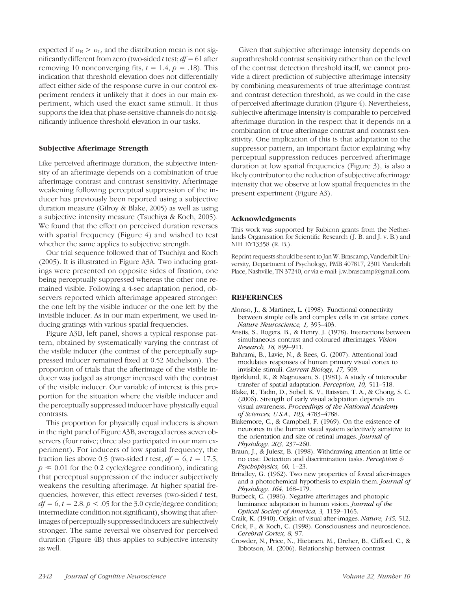expected if  $\sigma_{\rm R} > \sigma_{\rm L}$ , and the distribution mean is not significantly different from zero (two-sided t test;  $df = 61$  after removing 10 nonconverging fits,  $t = 1.4$ ,  $p = .18$ ). This indication that threshold elevation does not differentially affect either side of the response curve in our control experiment renders it unlikely that it does in our main experiment, which used the exact same stimuli. It thus supports the idea that phase-sensitive channels do not significantly influence threshold elevation in our tasks.

### Subjective Afterimage Strength

Like perceived afterimage duration, the subjective intensity of an afterimage depends on a combination of true afterimage contrast and contrast sensitivity. Afterimage weakening following perceptual suppression of the inducer has previously been reported using a subjective duration measure (Gilroy & Blake, 2005) as well as using a subjective intensity measure (Tsuchiya & Koch, 2005). We found that the effect on perceived duration reverses with spatial frequency (Figure 4) and wished to test whether the same applies to subjective strength.

Our trial sequence followed that of Tsuchiya and Koch (2005). It is illustrated in Figure A3A. Two inducing gratings were presented on opposite sides of fixation, one being perceptually suppressed whereas the other one remained visible. Following a 4-sec adaptation period, observers reported which afterimage appeared stronger: the one left by the visible inducer or the one left by the invisible inducer. As in our main experiment, we used inducing gratings with various spatial frequencies.

Figure A3B, left panel, shows a typical response pattern, obtained by systematically varying the contrast of the visible inducer (the contrast of the perceptually suppressed inducer remained fixed at 0.52 Michelson). The proportion of trials that the afterimage of the visible inducer was judged as stronger increased with the contrast of the visible inducer. Our variable of interest is this proportion for the situation where the visible inducer and the perceptually suppressed inducer have physically equal contrasts.

This proportion for physically equal inducers is shown in the right panel of Figure A3B, averaged across seven observers (four naive; three also participated in our main experiment). For inducers of low spatial frequency, the fraction lies above 0.5 (two-sided t test,  $df = 6$ ,  $t = 17.5$ ,  $p \ll 0.01$  for the 0.2 cycle/degree condition), indicating that perceptual suppression of the inducer subjectively weakens the resulting afterimage. At higher spatial frequencies, however, this effect reverses (two-sided t test,  $df = 6, t = 2.8, p < .05$  for the 3.0 cycle/degree condition; intermediate condition not significant), showing that afterimages of perceptually suppressed inducers are subjectively stronger. The same reversal we observed for perceived duration (Figure 4B) thus applies to subjective intensity as well.

Given that subjective afterimage intensity depends on suprathreshold contrast sensitivity rather than on the level of the contrast detection threshold itself, we cannot provide a direct prediction of subjective afterimage intensity by combining measurements of true afterimage contrast and contrast detection threshold, as we could in the case of perceived afterimage duration (Figure 4). Nevertheless, subjective afterimage intensity is comparable to perceived afterimage duration in the respect that it depends on a combination of true afterimage contrast and contrast sensitivity. One implication of this is that adaptation to the suppressor pattern, an important factor explaining why perceptual suppression reduces perceived afterimage duration at low spatial frequencies (Figure 3), is also a likely contributor to the reduction of subjective afterimage intensity that we observe at low spatial frequencies in the present experiment (Figure A3).

#### Acknowledgments

This work was supported by Rubicon grants from the Netherlands Organisation for Scientific Research ( J. B. and J. v. B.) and NIH EY13358 (R. B.).

Reprint requests should be sent to Jan W. Brascamp, Vanderbilt University, Department of Psychology, PMB 407817, 2301 Vanderbilt Place, Nashville, TN 37240, or via e-mail: j.w.brascamp@gmail.com.

## **REFERENCES**

- Alonso, J., & Martinez, L. (1998). Functional connectivity between simple cells and complex cells in cat striate cortex. Nature Neuroscience, 1, 395–403.
- Anstis, S., Rogers, B., & Henry, J. (1978). Interactions between simultaneous contrast and coloured afterimages. Vision Research, 18, 899–911.
- Bahrami, B., Lavie, N., & Rees, G. (2007). Attentional load modulates responses of human primary visual cortex to invisible stimuli. Current Biology, 17, 509.
- Bjørklund, R., & Magnussen, S. (1981). A study of interocular transfer of spatial adaptation. Perception, 10, 511–518.
- Blake, R., Tadin, D., Sobel, K. V., Raissian, T. A., & Chong, S. C. (2006). Strength of early visual adaptation depends on visual awareness. Proceedings of the National Academy of Sciences, U.S.A., 103, 4783–4788.
- Blakemore, C., & Campbell, F. (1969). On the existence of neurones in the human visual system selectively sensitive to the orientation and size of retinal images. Journal of Physiology, 203, 237–260.
- Braun, J., & Julesz, B. (1998). Withdrawing attention at little or no cost: Detection and discrimination tasks. Perception & Psychophysics, 60, 1–23.
- Brindley, G. (1962). Two new properties of foveal after-images and a photochemical hypothesis to explain them. Journal of Physiology, 164, 168–179.
- Burbeck, C. (1986). Negative afterimages and photopic luminance adaptation in human vision. Journal of the Optical Society of America, 3, 1159–1165.
- Craik, K. (1940). Origin of visual after-images. Nature, 145, 512.
- Crick, F., & Koch, C. (1998). Consciousness and neuroscience. Cerebral Cortex, 8, 97.
- Crowder, N., Price, N., Hietanen, M., Dreher, B., Clifford, C., & Ibbotson, M. (2006). Relationship between contrast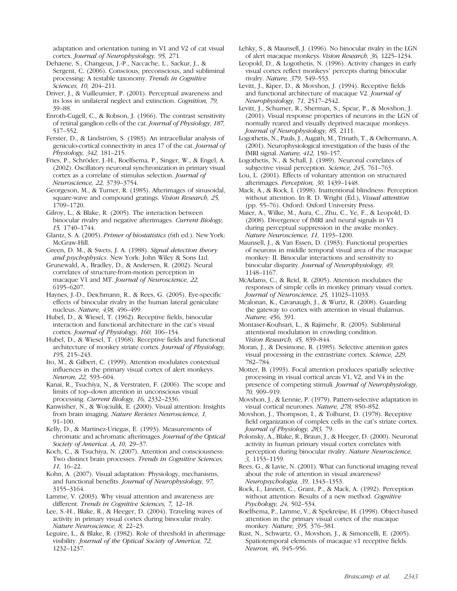adaptation and orientation tuning in V1 and V2 of cat visual cortex. Journal of Neurophysiology, 95, 271.

Dehaene, S., Changeux, J.-P., Naccache, L., Sackur, J., & Sergent, C. (2006). Conscious, preconscious, and subliminal processing: A testable taxonomy. Trends in Cognitive Sciences, 10, 204–211.

Driver, J., & Vuilleumier, P. (2001). Perceptual awareness and its loss in unilateral neglect and extinction. Cognition, 79, 39–88.

Enroth-Cugell, C., & Robson, J. (1966). The contrast sensitivity of retinal ganglion cells of the cat. Journal of Physiology, 187, 517–552.

Ferster, D., & Lindström, S. (1983). An intracellular analysis of geniculo-cortical connectivity in area 17 of the cat. Journal of Physiology, 342, 181–215.

Fries, P., Schröder, J.-H., Roelfsema, P., Singer, W., & Engel, A. (2002). Oscillatory neuronal synchronization in primary visual cortex as a correlate of stimulus selection. Journal of Neuroscience, 22, 3739–3754.

Georgeson, M., & Turner, R. (1985). Afterimages of sinusoidal, square-wave and compound gratings. Vision Research, 25, 1709–1720.

Gilroy, L., & Blake, R. (2005). The interaction between binocular rivalry and negative afterimages. Current Biology, 15, 1740–1744.

Glantz, S. A. (2005). Primer of biostatistics (6th ed.). New York: McGraw-Hill.

Green, D. M., & Swets, J. A. (1988). Signal detection theory and psychophysics. New York: John Wiley & Sons Ltd.

Grunewald, A., Bradley, D., & Andersen, R. (2002). Neural correlates of structure-from-motion perception in macaque V1 and MT. Journal of Neuroscience, 22, 6195–6207.

Haynes, J.-D., Deichmann, R., & Rees, G. (2005). Eye-specific effects of binocular rivalry in the human lateral geniculate nucleus. Nature, 438, 496–499.

Hubel, D., & Wiesel, T. (1962). Receptive fields, binocular interaction and functional architecture in the cat's visual cortex. Journal of Physiology, 160, 106–154.

Hubel, D., & Wiesel, T. (1968). Receptive fields and functional architecture of monkey striate cortex. Journal of Physiology, 195, 215–243.

Ito, M., & Gilbert, C. (1999). Attention modulates contextual influences in the primary visual cortex of alert monkeys. Neuron, 22, 593–604.

Kanai, R., Tsuchiya, N., & Verstraten, F. (2006). The scope and limits of top–down attention in unconscious visual processing. Current Biology, 16, 2332–2336.

Kanwisher, N., & Wojciulik, E. (2000). Visual attention: Insights from brain imaging. Nature Reviews Neuroscience, 1, 91–100.

Kelly, D., & Martinez-Uriegas, E. (1993). Measurements of chromatic and achromatic afterimages. Journal of the Optical Society of America. A, 10, 29-37.

Koch, C., & Tsuchiya, N. (2007). Attention and consciousness: Two distinct brain processes. Trends in Cognitive Sciences, 11, 16–22.

Kohn, A. (2007). Visual adaptation: Physiology, mechanisms, and functional benefits. Journal of Neurophysiology, 97, 3155–3164.

Lamme, V. (2003). Why visual attention and awareness are different. Trends in Cognitive Sciences, 7, 12–18.

Lee, S.-H., Blake, R., & Heeger, D. (2004). Traveling waves of activity in primary visual cortex during binocular rivalry. Nature Neuroscience, 8, 22–23.

Leguire, L., & Blake, R. (1982). Role of threshold in afterimage visibility. Journal of the Optical Society of America, 72, 1232–1237.

Lehky, S., & Maunsell, J. (1996). No binocular rivalry in the LGN of alert macaque monkeys. Vision Research, 36, 1225–1234.

Leopold, D., & Logothetis, N. (1996). Activity changes in early visual cortex reflect monkeys' percepts during binocular rivalry. Nature, 379, 549–553.

Levitt, J., Kiper, D., & Movshon, J. (1994). Receptive fields and functional architecture of macaque V2. Journal of Neurophysiology, 71, 2517–2542.

Levitt, J., Schumer, R., Sherman, S., Spear, P., & Movshon, J. (2001). Visual response properties of neurons in the LGN of normally reared and visually deprived macaque monkeys. Journal of Neurophysiology, 85, 2111.

Logothetis, N., Pauls, J., Augath, M., Trinath, T., & Oeltermann, A. (2001). Neurophysiological investigation of the basis of the fMRI signal. Nature, 412, 150–157.

Logothetis, N., & Schall, J. (1989). Neuronal correlates of subjective visual perception. Science, 245, 761–763.

Lou, L. (2001). Effects of voluntary attention on structured afterimages. Perception, 30, 1439–1448.

Mack, A., & Rock, I. (1998). Inattentional blindness: Perception without attention. In R. D. Wright (Ed.), Visual attention (pp. 55–76). Oxford: Oxford University Press.

Maier, A., Wilke, M., Aura, C., Zhu, C., Ye, F., & Leopold, D. (2008). Divergence of fMRI and neural signals in V1 during perceptual suppression in the awake monkey. Nature Neuroscience, 11, 1193–1200.

Maunsell, J., & Van Essen, D. (1983). Functional properties of neurons in middle temporal visual area of the macaque monkey: II. Binocular interactions and sensitivity to binocular disparity. Journal of Neurophysiology, 49, 1148–1167.

McAdams, C., & Reid, R. (2005). Attention modulates the responses of simple cells in monkey primary visual cortex. Journal of Neuroscience, 25, 11023–11033.

Mcalonan, K., Cavanaugh, J., & Wurtz, R. (2008). Guarding the gateway to cortex with attention in visual thalamus. Nature, 456, 391.

Montaser-Kouhsari, L., & Rajimehr, R. (2005). Subliminal attentional modulation in crowding condition. Vision Research, 45, 839–844.

Moran, J., & Desimone, R. (1985). Selective attention gates visual processing in the extrastriate cortex. Science, 229, 782–784.

Motter, B. (1993). Focal attention produces spatially selective processing in visual cortical areas V1, V2, and V4 in the presence of competing stimuli. Journal of Neurophysiology, 70, 909–919.

Movshon, J., & Lennie, P. (1979). Pattern-selective adaptation in visual cortical neurones. Nature, 278, 850–852.

Movshon, J., Thompson, I., & Tolhurst, D. (1978). Receptive field organization of complex cells in the cat's striate cortex. Journal of Physiology, 283, 79.

Polonsky, A., Blake, R., Braun, J., & Heeger, D. (2000). Neuronal activity in human primary visual cortex correlates with perception during binocular rivalry. Nature Neuroscience, 3, 1153–1159.

Rees, G., & Lavie, N. (2001). What can functional imaging reveal about the role of attention in visual awareness? Neuropsychologia, 39, 1343–1353.

Rock, I., Linnett, C., Grant, P., & Mack, A. (1992). Perception without attention: Results of a new method. Cognitive Psychology, 24, 502–534.

Roelfsema, P., Lamme, V., & Spekreijse, H. (1998). Object-based attention in the primary visual cortex of the macaque monkey. Nature, 395, 376–381.

Rust, N., Schwartz, O., Movshon, J., & Simoncelli, E. (2005). Spatiotemporal elements of macaque v1 receptive fields. Neuron, 46, 945–956.